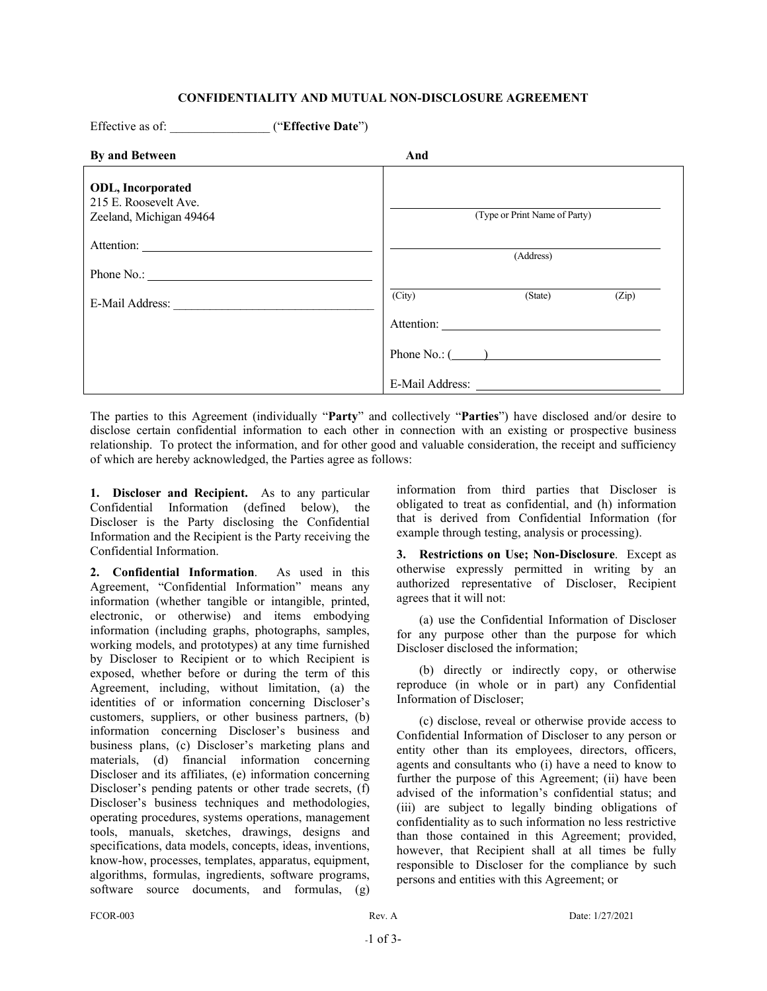## **CONFIDENTIALITY AND MUTUAL NON-DISCLOSURE AGREEMENT**

| Effective as of: ("Effective Date")                                          |                               |                   |       |
|------------------------------------------------------------------------------|-------------------------------|-------------------|-------|
| By and Between                                                               | And                           |                   |       |
| <b>ODL, Incorporated</b><br>215 E. Roosevelt Ave.<br>Zeeland, Michigan 49464 | (Type or Print Name of Party) |                   |       |
|                                                                              |                               | (Address)         |       |
|                                                                              |                               |                   |       |
| E-Mail Address:                                                              | (City)                        | (State)           | (Zip) |
|                                                                              |                               |                   |       |
|                                                                              |                               | Phone $No.$ : $($ |       |
|                                                                              |                               | E-Mail Address:   |       |

The parties to this Agreement (individually "**Party**" and collectively "**Parties**") have disclosed and/or desire to disclose certain confidential information to each other in connection with an existing or prospective business relationship. To protect the information, and for other good and valuable consideration, the receipt and sufficiency of which are hereby acknowledged, the Parties agree as follows:

**1. Discloser and Recipient.** As to any particular Confidential Information (defined below), the Discloser is the Party disclosing the Confidential Information and the Recipient is the Party receiving the Confidential Information.

**2. Confidential Information**. As used in this Agreement, "Confidential Information" means any information (whether tangible or intangible, printed, electronic, or otherwise) and items embodying information (including graphs, photographs, samples, working models, and prototypes) at any time furnished by Discloser to Recipient or to which Recipient is exposed, whether before or during the term of this Agreement, including, without limitation, (a) the identities of or information concerning Discloser's customers, suppliers, or other business partners, (b) information concerning Discloser's business and business plans, (c) Discloser's marketing plans and materials, (d) financial information concerning Discloser and its affiliates, (e) information concerning Discloser's pending patents or other trade secrets, (f) Discloser's business techniques and methodologies, operating procedures, systems operations, management tools, manuals, sketches, drawings, designs and specifications, data models, concepts, ideas, inventions, know-how, processes, templates, apparatus, equipment, algorithms, formulas, ingredients, software programs, software source documents, and formulas, (g)

information from third parties that Discloser is obligated to treat as confidential, and (h) information that is derived from Confidential Information (for example through testing, analysis or processing).

<span id="page-0-0"></span>**3. Restrictions on Use; Non-Disclosure**. Except as otherwise expressly permitted in writing by an authorized representative of Discloser, Recipient agrees that it will not:

(a) use the Confidential Information of Discloser for any purpose other than the purpose for which Discloser disclosed the information;

(b) directly or indirectly copy, or otherwise reproduce (in whole or in part) any Confidential Information of Discloser;

(c) disclose, reveal or otherwise provide access to Confidential Information of Discloser to any person or entity other than its employees, directors, officers, agents and consultants who (i) have a need to know to further the purpose of this Agreement; (ii) have been advised of the information's confidential status; and (iii) are subject to legally binding obligations of confidentiality as to such information no less restrictive than those contained in this Agreement; provided, however, that Recipient shall at all times be fully responsible to Discloser for the compliance by such persons and entities with this Agreement; or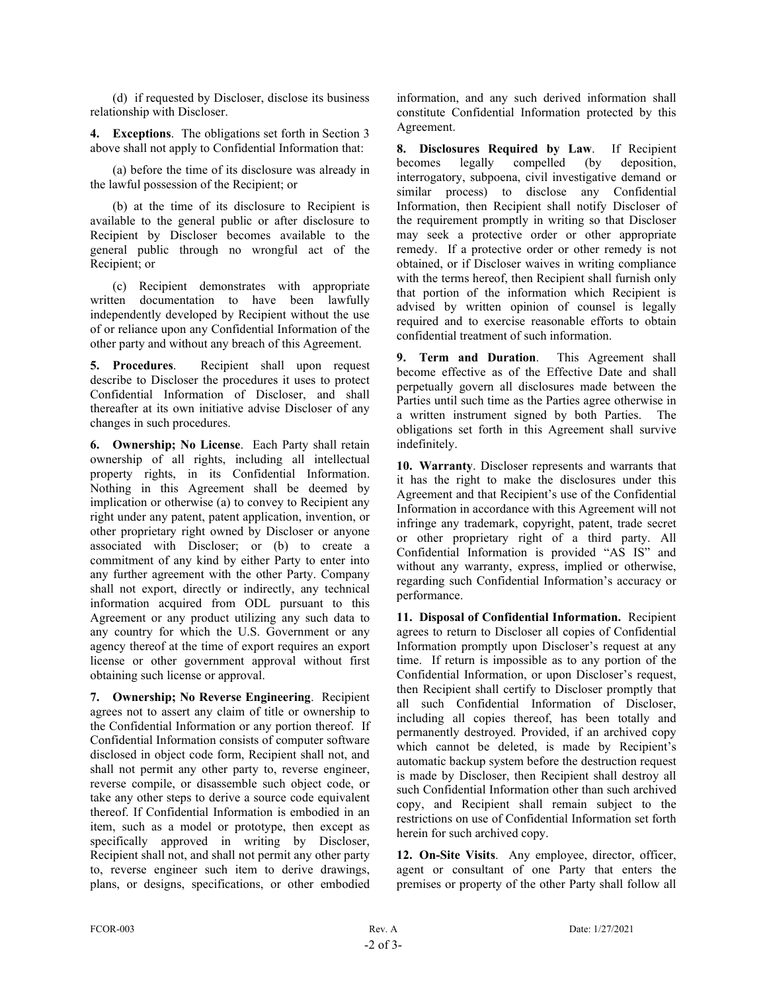(d) if requested by Discloser, disclose its business relationship with Discloser.

**4. Exceptions**. The obligations set forth in Section [3](#page-0-0) above shall not apply to Confidential Information that:

(a) before the time of its disclosure was already in the lawful possession of the Recipient; or

(b) at the time of its disclosure to Recipient is available to the general public or after disclosure to Recipient by Discloser becomes available to the general public through no wrongful act of the Recipient; or

(c) Recipient demonstrates with appropriate written documentation to have been lawfully independently developed by Recipient without the use of or reliance upon any Confidential Information of the other party and without any breach of this Agreement.

**5. Procedures**. Recipient shall upon request describe to Discloser the procedures it uses to protect Confidential Information of Discloser, and shall thereafter at its own initiative advise Discloser of any changes in such procedures.

**6. Ownership; No License**. Each Party shall retain ownership of all rights, including all intellectual property rights, in its Confidential Information. Nothing in this Agreement shall be deemed by implication or otherwise (a) to convey to Recipient any right under any patent, patent application, invention, or other proprietary right owned by Discloser or anyone associated with Discloser; or (b) to create a commitment of any kind by either Party to enter into any further agreement with the other Party. Company shall not export, directly or indirectly, any technical information acquired from ODL pursuant to this Agreement or any product utilizing any such data to any country for which the U.S. Government or any agency thereof at the time of export requires an export license or other government approval without first obtaining such license or approval.

**7. Ownership; No Reverse Engineering**. Recipient agrees not to assert any claim of title or ownership to the Confidential Information or any portion thereof. If Confidential Information consists of computer software disclosed in object code form, Recipient shall not, and shall not permit any other party to, reverse engineer, reverse compile, or disassemble such object code, or take any other steps to derive a source code equivalent thereof. If Confidential Information is embodied in an item, such as a model or prototype, then except as specifically approved in writing by Discloser, Recipient shall not, and shall not permit any other party to, reverse engineer such item to derive drawings, plans, or designs, specifications, or other embodied

information, and any such derived information shall constitute Confidential Information protected by this Agreement.

**8. Disclosures Required by Law**. If Recipient becomes legally compelled (by deposition, interrogatory, subpoena, civil investigative demand or similar process) to disclose any Confidential Information, then Recipient shall notify Discloser of the requirement promptly in writing so that Discloser may seek a protective order or other appropriate remedy. If a protective order or other remedy is not obtained, or if Discloser waives in writing compliance with the terms hereof, then Recipient shall furnish only that portion of the information which Recipient is advised by written opinion of counsel is legally required and to exercise reasonable efforts to obtain confidential treatment of such information.

**9. Term and Duration**. This Agreement shall become effective as of the Effective Date and shall perpetually govern all disclosures made between the Parties until such time as the Parties agree otherwise in a written instrument signed by both Parties. The obligations set forth in this Agreement shall survive indefinitely.

**10. Warranty**. Discloser represents and warrants that it has the right to make the disclosures under this Agreement and that Recipient's use of the Confidential Information in accordance with this Agreement will not infringe any trademark, copyright, patent, trade secret or other proprietary right of a third party. All Confidential Information is provided "AS IS" and without any warranty, express, implied or otherwise, regarding such Confidential Information's accuracy or performance.

**11. Disposal of Confidential Information.** Recipient agrees to return to Discloser all copies of Confidential Information promptly upon Discloser's request at any time. If return is impossible as to any portion of the Confidential Information, or upon Discloser's request, then Recipient shall certify to Discloser promptly that all such Confidential Information of Discloser, including all copies thereof, has been totally and permanently destroyed. Provided, if an archived copy which cannot be deleted, is made by Recipient's automatic backup system before the destruction request is made by Discloser, then Recipient shall destroy all such Confidential Information other than such archived copy, and Recipient shall remain subject to the restrictions on use of Confidential Information set forth herein for such archived copy.

**12. On-Site Visits**. Any employee, director, officer, agent or consultant of one Party that enters the premises or property of the other Party shall follow all